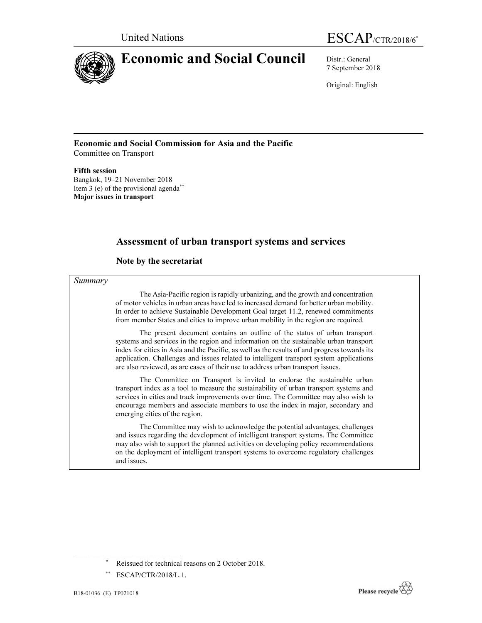

United Nations ESCAP/CTR/2018/6\*

7 September 2018

Original: English

#### Economic and Social Commission for Asia and the Pacific Committee on Transport

#### Fifth session

Bangkok, 19–21 November 2018 Item 3 (e) of the provisional agenda\*\* Major issues in transport

# Assessment of urban transport systems and services

### Note by the secretariat

#### Summary

The Asia-Pacific region is rapidly urbanizing, and the growth and concentration of motor vehicles in urban areas have led to increased demand for better urban mobility. In order to achieve Sustainable Development Goal target 11.2, renewed commitments from member States and cities to improve urban mobility in the region are required.

The present document contains an outline of the status of urban transport systems and services in the region and information on the sustainable urban transport index for cities in Asia and the Pacific, as well as the results of and progress towards its application. Challenges and issues related to intelligent transport system applications are also reviewed, as are cases of their use to address urban transport issues.

The Committee on Transport is invited to endorse the sustainable urban transport index as a tool to measure the sustainability of urban transport systems and services in cities and track improvements over time. The Committee may also wish to encourage members and associate members to use the index in major, secondary and emerging cities of the region.

The Committee may wish to acknowledge the potential advantages, challenges and issues regarding the development of intelligent transport systems. The Committee may also wish to support the planned activities on developing policy recommendations on the deployment of intelligent transport systems to overcome regulatory challenges and issues.

 $\overline{\phantom{a}}$  , where  $\overline{\phantom{a}}$  , where  $\overline{\phantom{a}}$  , where  $\overline{\phantom{a}}$ 



<sup>\*</sup> Reissued for technical reasons on 2 October 2018.

<sup>\*\*</sup> ESCAP/CTR/2018/L.1.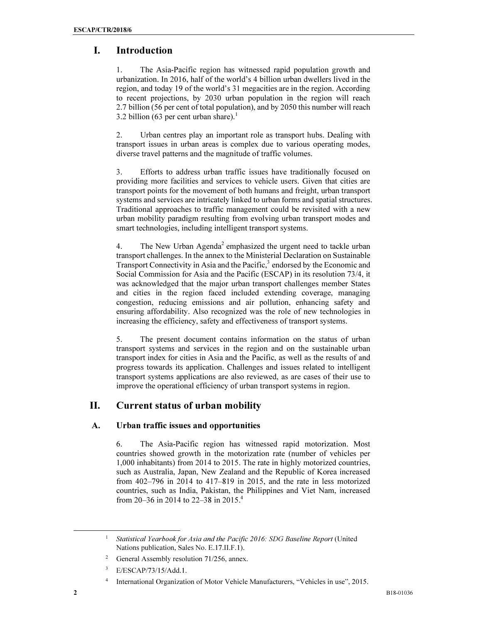# I. Introduction

1. The Asia-Pacific region has witnessed rapid population growth and urbanization. In 2016, half of the world's 4 billion urban dwellers lived in the region, and today 19 of the world's 31 megacities are in the region. According to recent projections, by 2030 urban population in the region will reach 2.7 billion (56 per cent of total population), and by 2050 this number will reach 3.2 billion (63 per cent urban share).<sup>1</sup>

2. Urban centres play an important role as transport hubs. Dealing with transport issues in urban areas is complex due to various operating modes, diverse travel patterns and the magnitude of traffic volumes.

3. Efforts to address urban traffic issues have traditionally focused on providing more facilities and services to vehicle users. Given that cities are transport points for the movement of both humans and freight, urban transport systems and services are intricately linked to urban forms and spatial structures. Traditional approaches to traffic management could be revisited with a new urban mobility paradigm resulting from evolving urban transport modes and smart technologies, including intelligent transport systems.

4. The New Urban Agenda<sup>2</sup> emphasized the urgent need to tackle urban transport challenges. In the annex to the Ministerial Declaration on Sustainable Transport Connectivity in Asia and the Pacific,<sup>3</sup> endorsed by the Economic and Social Commission for Asia and the Pacific (ESCAP) in its resolution 73/4, it was acknowledged that the major urban transport challenges member States and cities in the region faced included extending coverage, managing congestion, reducing emissions and air pollution, enhancing safety and ensuring affordability. Also recognized was the role of new technologies in increasing the efficiency, safety and effectiveness of transport systems.

5. The present document contains information on the status of urban transport systems and services in the region and on the sustainable urban transport index for cities in Asia and the Pacific, as well as the results of and progress towards its application. Challenges and issues related to intelligent transport systems applications are also reviewed, as are cases of their use to improve the operational efficiency of urban transport systems in region.

# II. Current status of urban mobility

### A. Urban traffic issues and opportunities

6. The Asia-Pacific region has witnessed rapid motorization. Most countries showed growth in the motorization rate (number of vehicles per 1,000 inhabitants) from 2014 to 2015. The rate in highly motorized countries, such as Australia, Japan, New Zealand and the Republic of Korea increased from 402–796 in 2014 to 417–819 in 2015, and the rate in less motorized countries, such as India, Pakistan, the Philippines and Viet Nam, increased from 20–36 in 2014 to 22–38 in 2015.<sup>4</sup>

<sup>1</sup>*Statistical Yearbook for Asia and the Pacific 2016: SDG Baseline Report* (United Nations publication, Sales No. E.17.II.F.1).

<sup>2</sup> General Assembly resolution 71/256, annex.

<sup>3</sup> E/ESCAP/73/15/Add.1.

<sup>4</sup> International Organization of Motor Vehicle Manufacturers, "Vehicles in use", 2015.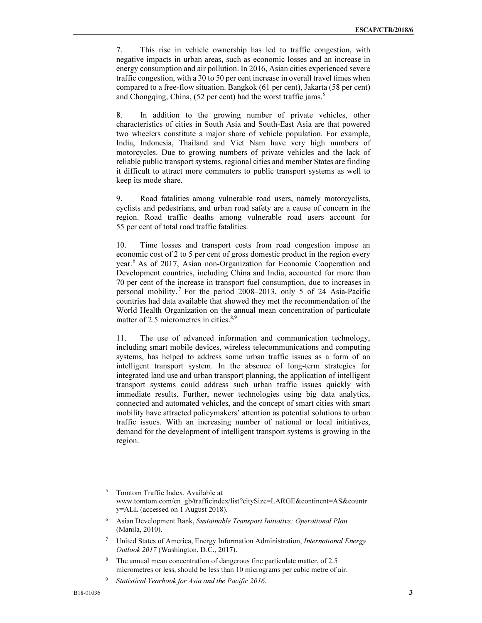7. This rise in vehicle ownership has led to traffic congestion, with negative impacts in urban areas, such as economic losses and an increase in energy consumption and air pollution. In 2016, Asian cities experienced severe traffic congestion, with a 30 to 50 per cent increase in overall travel times when compared to a free-flow situation. Bangkok (61 per cent), Jakarta (58 per cent) and Chongqing, China, (52 per cent) had the worst traffic jams.<sup>5</sup>

8. In addition to the growing number of private vehicles, other characteristics of cities in South Asia and South-East Asia are that powered two wheelers constitute a major share of vehicle population. For example, India, Indonesia, Thailand and Viet Nam have very high numbers of motorcycles. Due to growing numbers of private vehicles and the lack of reliable public transport systems, regional cities and member States are finding it difficult to attract more commuters to public transport systems as well to keep its mode share.

9. Road fatalities among vulnerable road users, namely motorcyclists, cyclists and pedestrians, and urban road safety are a cause of concern in the region. Road traffic deaths among vulnerable road users account for 55 per cent of total road traffic fatalities.

10. Time losses and transport costs from road congestion impose an economic cost of 2 to 5 per cent of gross domestic product in the region every year.<sup>6</sup> As of 2017, Asian non-Organization for Economic Cooperation and Development countries, including China and India, accounted for more than 70 per cent of the increase in transport fuel consumption, due to increases in personal mobility.<sup>7</sup> For the period 2008–2013, only 5 of 24 Asia-Pacific countries had data available that showed they met the recommendation of the World Health Organization on the annual mean concentration of particulate matter of 2.5 micrometres in cities.<sup>8,9</sup>

11. The use of advanced information and communication technology, including smart mobile devices, wireless telecommunications and computing systems, has helped to address some urban traffic issues as a form of an intelligent transport system. In the absence of long-term strategies for integrated land use and urban transport planning, the application of intelligent transport systems could address such urban traffic issues quickly with immediate results. Further, newer technologies using big data analytics, connected and automated vehicles, and the concept of smart cities with smart mobility have attracted policymakers' attention as potential solutions to urban traffic issues. With an increasing number of national or local initiatives, demand for the development of intelligent transport systems is growing in the region.

<sup>&</sup>lt;sup>5</sup> Tomtom Traffic Index. Available at www.tomtom.com/en\_gb/trafficindex/list?citySize=LARGE&continent=AS&countr y=ALL (accessed on 1 August 2018).

<sup>6</sup>Asian Development Bank, *Sustainable Transport Initiative: Operational Plan* (Manila, 2010).

<sup>7</sup>United States of America, Energy Information Administration, *International Energy Outlook 2017* (Washington, D.C., 2017).

The annual mean concentration of dangerous fine particulate matter, of 2.5 micrometres or less, should be less than 10 micrograms per cubic metre of air.

<sup>9</sup> *Statistical Yearbook for Asia and the Pacific 2016*.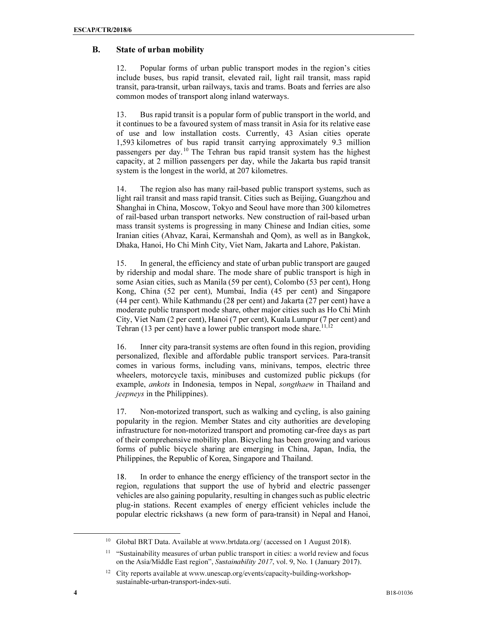### B. State of urban mobility

12. Popular forms of urban public transport modes in the region's cities include buses, bus rapid transit, elevated rail, light rail transit, mass rapid transit, para-transit, urban railways, taxis and trams. Boats and ferries are also common modes of transport along inland waterways.

13. Bus rapid transit is a popular form of public transport in the world, and it continues to be a favoured system of mass transit in Asia for its relative ease of use and low installation costs. Currently, 43 Asian cities operate 1,593 kilometres of bus rapid transit carrying approximately 9.3 million passengers per day.<sup>10</sup> The Tehran bus rapid transit system has the highest capacity, at 2 million passengers per day, while the Jakarta bus rapid transit system is the longest in the world, at 207 kilometres.

14. The region also has many rail-based public transport systems, such as light rail transit and mass rapid transit. Cities such as Beijing, Guangzhou and Shanghai in China, Moscow, Tokyo and Seoul have more than 300 kilometres of rail-based urban transport networks. New construction of rail-based urban mass transit systems is progressing in many Chinese and Indian cities, some Iranian cities (Ahvaz, Karai, Kermanshah and Qom), as well as in Bangkok, Dhaka, Hanoi, Ho Chi Minh City, Viet Nam, Jakarta and Lahore, Pakistan.

15. In general, the efficiency and state of urban public transport are gauged by ridership and modal share. The mode share of public transport is high in some Asian cities, such as Manila (59 per cent), Colombo (53 per cent), Hong Kong, China (52 per cent), Mumbai, India (45 per cent) and Singapore (44 per cent). While Kathmandu (28 per cent) and Jakarta (27 per cent) have a moderate public transport mode share, other major cities such as Ho Chi Minh City, Viet Nam (2 per cent), Hanoi (7 per cent), Kuala Lumpur (7 per cent) and Tehran (13 per cent) have a lower public transport mode share.<sup>11,12</sup>

16. Inner city para-transit systems are often found in this region, providing personalized, flexible and affordable public transport services. Para-transit comes in various forms, including vans, minivans, tempos, electric three wheelers, motorcycle taxis, minibuses and customized public pickups (for example, ankots in Indonesia, tempos in Nepal, songthaew in Thailand and jeepneys in the Philippines).

17. Non-motorized transport, such as walking and cycling, is also gaining popularity in the region. Member States and city authorities are developing infrastructure for non-motorized transport and promoting car-free days as part of their comprehensive mobility plan. Bicycling has been growing and various forms of public bicycle sharing are emerging in China, Japan, India, the Philippines, the Republic of Korea, Singapore and Thailand.

18. In order to enhance the energy efficiency of the transport sector in the region, regulations that support the use of hybrid and electric passenger vehicles are also gaining popularity, resulting in changes such as public electric plug-in stations. Recent examples of energy efficient vehicles include the popular electric rickshaws (a new form of para-transit) in Nepal and Hanoi,

<sup>&</sup>lt;sup>10</sup> Global BRT Data. Available at www.brtdata.org/ (accessed on 1 August 2018).

<sup>&</sup>lt;sup>11</sup> "Sustainability measures of urban public transport in cities: a world review and focus on the Asia/Middle East region", *Sustainability 2017*, vol. 9, No. 1 (January 2017).

<sup>&</sup>lt;sup>12</sup> City reports available at www.unescap.org/events/capacity-building-workshopsustainable-urban-transport-index-suti.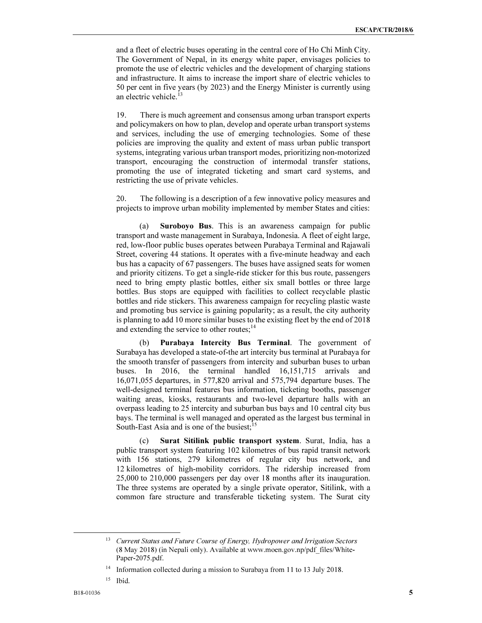and a fleet of electric buses operating in the central core of Ho Chi Minh City. The Government of Nepal, in its energy white paper, envisages policies to promote the use of electric vehicles and the development of charging stations and infrastructure. It aims to increase the import share of electric vehicles to 50 per cent in five years (by 2023) and the Energy Minister is currently using an electric vehicle.<sup>13</sup>

19. There is much agreement and consensus among urban transport experts and policymakers on how to plan, develop and operate urban transport systems and services, including the use of emerging technologies. Some of these policies are improving the quality and extent of mass urban public transport systems, integrating various urban transport modes, prioritizing non-motorized transport, encouraging the construction of intermodal transfer stations, promoting the use of integrated ticketing and smart card systems, and restricting the use of private vehicles.

20. The following is a description of a few innovative policy measures and projects to improve urban mobility implemented by member States and cities:

(a) Suroboyo Bus. This is an awareness campaign for public transport and waste management in Surabaya, Indonesia. A fleet of eight large, red, low-floor public buses operates between Purabaya Terminal and Rajawali Street, covering 44 stations. It operates with a five-minute headway and each bus has a capacity of 67 passengers. The buses have assigned seats for women and priority citizens. To get a single-ride sticker for this bus route, passengers need to bring empty plastic bottles, either six small bottles or three large bottles. Bus stops are equipped with facilities to collect recyclable plastic bottles and ride stickers. This awareness campaign for recycling plastic waste and promoting bus service is gaining popularity; as a result, the city authority is planning to add 10 more similar buses to the existing fleet by the end of 2018 and extending the service to other routes;<sup>14</sup>

(b) Purabaya Intercity Bus Terminal. The government of Surabaya has developed a state-of-the art intercity bus terminal at Purabaya for the smooth transfer of passengers from intercity and suburban buses to urban buses. In 2016, the terminal handled 16,151,715 arrivals and 16,071,055 departures, in 577,820 arrival and 575,794 departure buses. The well-designed terminal features bus information, ticketing booths, passenger waiting areas, kiosks, restaurants and two-level departure halls with an overpass leading to 25 intercity and suburban bus bays and 10 central city bus bays. The terminal is well managed and operated as the largest bus terminal in South-East Asia and is one of the busiest;<sup>15</sup>

(c) Surat Sitilink public transport system. Surat, India, has a public transport system featuring 102 kilometres of bus rapid transit network with 156 stations, 279 kilometres of regular city bus network, and 12 kilometres of high-mobility corridors. The ridership increased from 25,000 to 210,000 passengers per day over 18 months after its inauguration. The three systems are operated by a single private operator, Sitilink, with a common fare structure and transferable ticketing system. The Surat city

<sup>13</sup> *Current Status and Future Course of Energy, Hydropower and Irrigation Sectors* (8 May 2018) (in Nepali only). Available at www.moen.gov.np/pdf\_files/White-Paper-2075.pdf.

<sup>&</sup>lt;sup>14</sup> Information collected during a mission to Surabaya from 11 to 13 July 2018.

<sup>15</sup> Ibid.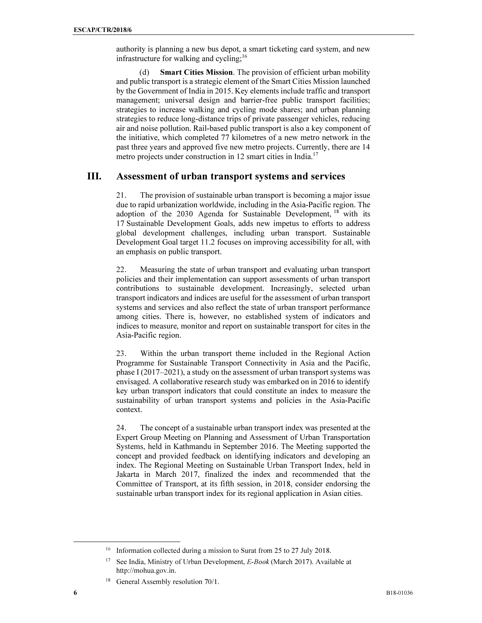authority is planning a new bus depot, a smart ticketing card system, and new infrastructure for walking and cycling; $^{16}$ 

(d) Smart Cities Mission. The provision of efficient urban mobility and public transport is a strategic element of the Smart Cities Mission launched by the Government of India in 2015. Key elements include traffic and transport management; universal design and barrier-free public transport facilities; strategies to increase walking and cycling mode shares; and urban planning strategies to reduce long-distance trips of private passenger vehicles, reducing air and noise pollution. Rail-based public transport is also a key component of the initiative, which completed 77 kilometres of a new metro network in the past three years and approved five new metro projects. Currently, there are 14 metro projects under construction in 12 smart cities in India.<sup>17</sup>

# III. Assessment of urban transport systems and services

21. The provision of sustainable urban transport is becoming a major issue due to rapid urbanization worldwide, including in the Asia-Pacific region. The adoption of the  $2030$  Agenda for Sustainable Development, <sup>18</sup> with its 17 Sustainable Development Goals, adds new impetus to efforts to address global development challenges, including urban transport. Sustainable Development Goal target 11.2 focuses on improving accessibility for all, with an emphasis on public transport.

22. Measuring the state of urban transport and evaluating urban transport policies and their implementation can support assessments of urban transport contributions to sustainable development. Increasingly, selected urban transport indicators and indices are useful for the assessment of urban transport systems and services and also reflect the state of urban transport performance among cities. There is, however, no established system of indicators and indices to measure, monitor and report on sustainable transport for cites in the Asia-Pacific region.

23. Within the urban transport theme included in the Regional Action Programme for Sustainable Transport Connectivity in Asia and the Pacific, phase I (2017–2021), a study on the assessment of urban transport systems was envisaged. A collaborative research study was embarked on in 2016 to identify key urban transport indicators that could constitute an index to measure the sustainability of urban transport systems and policies in the Asia-Pacific context.

24. The concept of a sustainable urban transport index was presented at the Expert Group Meeting on Planning and Assessment of Urban Transportation Systems, held in Kathmandu in September 2016. The Meeting supported the concept and provided feedback on identifying indicators and developing an index. The Regional Meeting on Sustainable Urban Transport Index, held in Jakarta in March 2017, finalized the index and recommended that the Committee of Transport, at its fifth session, in 2018, consider endorsing the sustainable urban transport index for its regional application in Asian cities.

<sup>&</sup>lt;sup>16</sup> Information collected during a mission to Surat from 25 to 27 July 2018.

<sup>17</sup> See India, Ministry of Urban Development, *E-Book* (March 2017). Available at http://mohua.gov.in.

<sup>&</sup>lt;sup>18</sup> General Assembly resolution 70/1.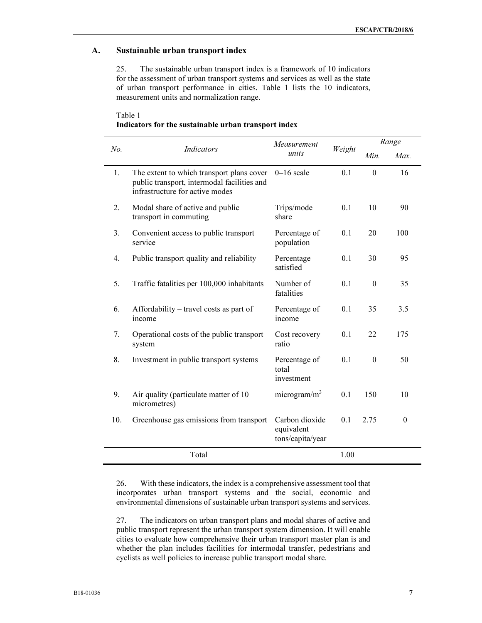## A. Sustainable urban transport index

25. The sustainable urban transport index is a framework of 10 indicators for the assessment of urban transport systems and services as well as the state of urban transport performance in cities. Table 1 lists the 10 indicators, measurement units and normalization range.

| Table 1                                              |  |
|------------------------------------------------------|--|
| Indicators for the sustainable urban transport index |  |

| No. | <b>Indicators</b>                                                                                                           | Measurement<br>units                             | Weight | Range            |          |
|-----|-----------------------------------------------------------------------------------------------------------------------------|--------------------------------------------------|--------|------------------|----------|
|     |                                                                                                                             |                                                  |        | Min.             | Max.     |
| 1.  | The extent to which transport plans cover<br>public transport, intermodal facilities and<br>infrastructure for active modes | $0-16$ scale                                     | 0.1    | $\mathbf{0}$     | 16       |
| 2.  | Modal share of active and public<br>transport in commuting                                                                  | Trips/mode<br>share                              | 0.1    | 10               | 90       |
| 3.  | Convenient access to public transport<br>service                                                                            | Percentage of<br>population                      | 0.1    | 20               | 100      |
| 4.  | Public transport quality and reliability                                                                                    | Percentage<br>satisfied                          | 0.1    | 30               | 95       |
| 5.  | Traffic fatalities per 100,000 inhabitants                                                                                  | Number of<br>fatalities                          | 0.1    | $\theta$         | 35       |
| 6.  | Affordability - travel costs as part of<br>income                                                                           | Percentage of<br>income                          | 0.1    | 35               | 3.5      |
| 7.  | Operational costs of the public transport<br>system                                                                         | Cost recovery<br>ratio                           | 0.1    | 22               | 175      |
| 8.  | Investment in public transport systems                                                                                      | Percentage of<br>total<br>investment             | 0.1    | $\boldsymbol{0}$ | 50       |
| 9.  | Air quality (particulate matter of 10<br>micrometres)                                                                       | microgram/ $m^3$                                 | 0.1    | 150              | 10       |
| 10. | Greenhouse gas emissions from transport                                                                                     | Carbon dioxide<br>equivalent<br>tons/capita/year | 0.1    | 2.75             | $\theta$ |
|     | Total                                                                                                                       |                                                  | 1.00   |                  |          |

26. With these indicators, the index is a comprehensive assessment tool that incorporates urban transport systems and the social, economic and environmental dimensions of sustainable urban transport systems and services.

27. The indicators on urban transport plans and modal shares of active and public transport represent the urban transport system dimension. It will enable cities to evaluate how comprehensive their urban transport master plan is and whether the plan includes facilities for intermodal transfer, pedestrians and cyclists as well policies to increase public transport modal share.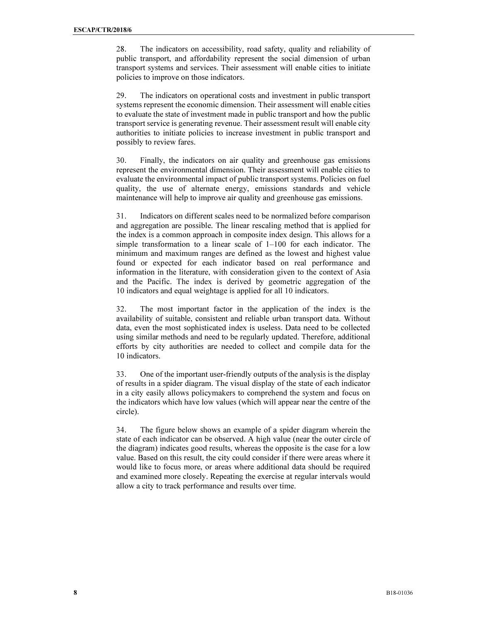28. The indicators on accessibility, road safety, quality and reliability of public transport, and affordability represent the social dimension of urban transport systems and services. Their assessment will enable cities to initiate policies to improve on those indicators.

29. The indicators on operational costs and investment in public transport systems represent the economic dimension. Their assessment will enable cities to evaluate the state of investment made in public transport and how the public transport service is generating revenue. Their assessment result will enable city authorities to initiate policies to increase investment in public transport and possibly to review fares.

30. Finally, the indicators on air quality and greenhouse gas emissions represent the environmental dimension. Their assessment will enable cities to evaluate the environmental impact of public transport systems. Policies on fuel quality, the use of alternate energy, emissions standards and vehicle maintenance will help to improve air quality and greenhouse gas emissions.

31. Indicators on different scales need to be normalized before comparison and aggregation are possible. The linear rescaling method that is applied for the index is a common approach in composite index design. This allows for a simple transformation to a linear scale of 1–100 for each indicator. The minimum and maximum ranges are defined as the lowest and highest value found or expected for each indicator based on real performance and information in the literature, with consideration given to the context of Asia and the Pacific. The index is derived by geometric aggregation of the 10 indicators and equal weightage is applied for all 10 indicators.

32. The most important factor in the application of the index is the availability of suitable, consistent and reliable urban transport data. Without data, even the most sophisticated index is useless. Data need to be collected using similar methods and need to be regularly updated. Therefore, additional efforts by city authorities are needed to collect and compile data for the 10 indicators.

33. One of the important user-friendly outputs of the analysis is the display of results in a spider diagram. The visual display of the state of each indicator in a city easily allows policymakers to comprehend the system and focus on the indicators which have low values (which will appear near the centre of the circle).

34. The figure below shows an example of a spider diagram wherein the state of each indicator can be observed. A high value (near the outer circle of the diagram) indicates good results, whereas the opposite is the case for a low value. Based on this result, the city could consider if there were areas where it would like to focus more, or areas where additional data should be required and examined more closely. Repeating the exercise at regular intervals would allow a city to track performance and results over time.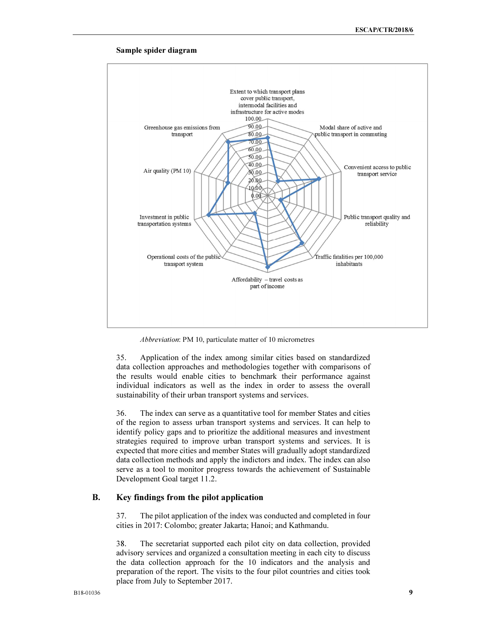

#### Sample spider diagram

Abbreviation: PM 10, particulate matter of 10 micrometres

35. Application of the index among similar cities based on standardized data collection approaches and methodologies together with comparisons of the results would enable cities to benchmark their performance against individual indicators as well as the index in order to assess the overall sustainability of their urban transport systems and services.

36. The index can serve as a quantitative tool for member States and cities of the region to assess urban transport systems and services. It can help to identify policy gaps and to prioritize the additional measures and investment strategies required to improve urban transport systems and services. It is expected that more cities and member States will gradually adopt standardized data collection methods and apply the indictors and index. The index can also serve as a tool to monitor progress towards the achievement of Sustainable Development Goal target 11.2.

## B. Key findings from the pilot application

37. The pilot application of the index was conducted and completed in four cities in 2017: Colombo; greater Jakarta; Hanoi; and Kathmandu.

38. The secretariat supported each pilot city on data collection, provided advisory services and organized a consultation meeting in each city to discuss the data collection approach for the 10 indicators and the analysis and preparation of the report. The visits to the four pilot countries and cities took place from July to September 2017.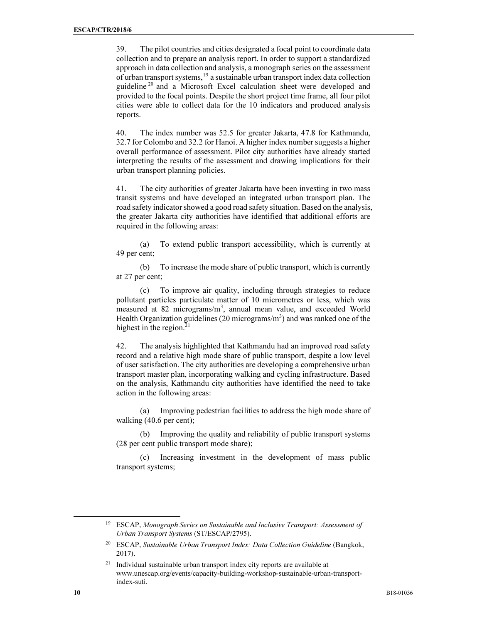39. The pilot countries and cities designated a focal point to coordinate data collection and to prepare an analysis report. In order to support a standardized approach in data collection and analysis, a monograph series on the assessment of urban transport systems,<sup>19</sup> a sustainable urban transport index data collection guideline<sup>20</sup> and a Microsoft Excel calculation sheet were developed and provided to the focal points. Despite the short project time frame, all four pilot cities were able to collect data for the 10 indicators and produced analysis reports.

40. The index number was 52.5 for greater Jakarta, 47.8 for Kathmandu, 32.7 for Colombo and 32.2 for Hanoi. A higher index number suggests a higher overall performance of assessment. Pilot city authorities have already started interpreting the results of the assessment and drawing implications for their urban transport planning policies.

41. The city authorities of greater Jakarta have been investing in two mass transit systems and have developed an integrated urban transport plan. The road safety indicator showed a good road safety situation. Based on the analysis, the greater Jakarta city authorities have identified that additional efforts are required in the following areas:

(a) To extend public transport accessibility, which is currently at 49 per cent;

(b) To increase the mode share of public transport, which is currently at 27 per cent;

(c) To improve air quality, including through strategies to reduce pollutant particles particulate matter of 10 micrometres or less, which was measured at 82 micrograms/m<sup>3</sup>, annual mean value, and exceeded World Health Organization guidelines (20 micrograms/m<sup>3</sup>) and was ranked one of the highest in the region. $21$ 

42. The analysis highlighted that Kathmandu had an improved road safety record and a relative high mode share of public transport, despite a low level of user satisfaction. The city authorities are developing a comprehensive urban transport master plan, incorporating walking and cycling infrastructure. Based on the analysis, Kathmandu city authorities have identified the need to take action in the following areas:

(a) Improving pedestrian facilities to address the high mode share of walking (40.6 per cent);

Improving the quality and reliability of public transport systems (28 per cent public transport mode share);

(c) Increasing investment in the development of mass public transport systems;

<sup>19</sup> ESCAP, *Monograph Series on Sustainable and Inclusive Transport: Assessment of Urban Transport Systems* (ST/ESCAP/2795).

<sup>20</sup> ESCAP, *Sustainable Urban Transport Index: Data Collection Guideline* (Bangkok, 2017).

 $21$  Individual sustainable urban transport index city reports are available at www.unescap.org/events/capacity-building-workshop-sustainable-urban-transportindex-suti.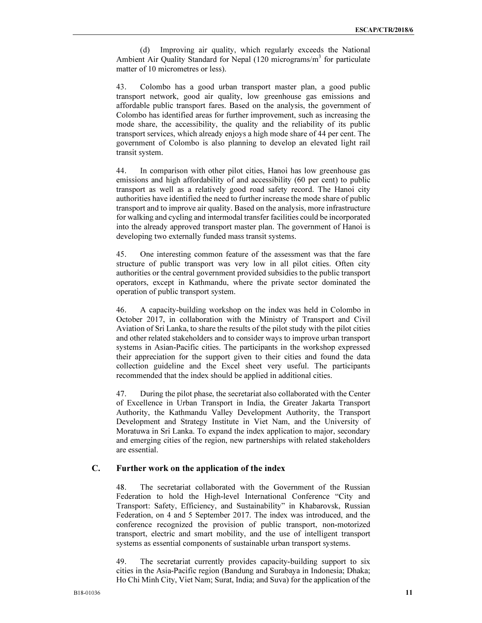(d) Improving air quality, which regularly exceeds the National Ambient Air Quality Standard for Nepal (120 micrograms/m<sup>3</sup> for particulate matter of 10 micrometres or less).

43. Colombo has a good urban transport master plan, a good public transport network, good air quality, low greenhouse gas emissions and affordable public transport fares. Based on the analysis, the government of Colombo has identified areas for further improvement, such as increasing the mode share, the accessibility, the quality and the reliability of its public transport services, which already enjoys a high mode share of 44 per cent. The government of Colombo is also planning to develop an elevated light rail transit system.

44. In comparison with other pilot cities, Hanoi has low greenhouse gas emissions and high affordability of and accessibility (60 per cent) to public transport as well as a relatively good road safety record. The Hanoi city authorities have identified the need to further increase the mode share of public transport and to improve air quality. Based on the analysis, more infrastructure for walking and cycling and intermodal transfer facilities could be incorporated into the already approved transport master plan. The government of Hanoi is developing two externally funded mass transit systems.

45. One interesting common feature of the assessment was that the fare structure of public transport was very low in all pilot cities. Often city authorities or the central government provided subsidies to the public transport operators, except in Kathmandu, where the private sector dominated the operation of public transport system.

46. A capacity-building workshop on the index was held in Colombo in October 2017, in collaboration with the Ministry of Transport and Civil Aviation of Sri Lanka, to share the results of the pilot study with the pilot cities and other related stakeholders and to consider ways to improve urban transport systems in Asian-Pacific cities. The participants in the workshop expressed their appreciation for the support given to their cities and found the data collection guideline and the Excel sheet very useful. The participants recommended that the index should be applied in additional cities.

47. During the pilot phase, the secretariat also collaborated with the Center of Excellence in Urban Transport in India, the Greater Jakarta Transport Authority, the Kathmandu Valley Development Authority, the Transport Development and Strategy Institute in Viet Nam, and the University of Moratuwa in Sri Lanka. To expand the index application to major, secondary and emerging cities of the region, new partnerships with related stakeholders are essential.

#### C. Further work on the application of the index

48. The secretariat collaborated with the Government of the Russian Federation to hold the High-level International Conference "City and Transport: Safety, Efficiency, and Sustainability" in Khabarovsk, Russian Federation, on 4 and 5 September 2017. The index was introduced, and the conference recognized the provision of public transport, non-motorized transport, electric and smart mobility, and the use of intelligent transport systems as essential components of sustainable urban transport systems.

49. The secretariat currently provides capacity-building support to six cities in the Asia-Pacific region (Bandung and Surabaya in Indonesia; Dhaka; Ho Chi Minh City, Viet Nam; Surat, India; and Suva) for the application of the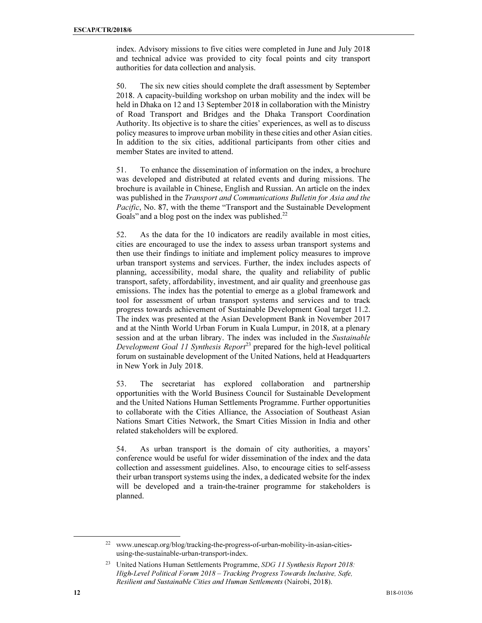index. Advisory missions to five cities were completed in June and July 2018 and technical advice was provided to city focal points and city transport authorities for data collection and analysis.

50. The six new cities should complete the draft assessment by September 2018. A capacity-building workshop on urban mobility and the index will be held in Dhaka on 12 and 13 September 2018 in collaboration with the Ministry of Road Transport and Bridges and the Dhaka Transport Coordination Authority. Its objective is to share the cities' experiences, as well as to discuss policy measures to improve urban mobility in these cities and other Asian cities. In addition to the six cities, additional participants from other cities and member States are invited to attend.

51. To enhance the dissemination of information on the index, a brochure was developed and distributed at related events and during missions. The brochure is available in Chinese, English and Russian. An article on the index was published in the Transport and Communications Bulletin for Asia and the Pacific, No. 87, with the theme "Transport and the Sustainable Development Goals" and a blog post on the index was published.<sup>22</sup>

52. As the data for the 10 indicators are readily available in most cities, cities are encouraged to use the index to assess urban transport systems and then use their findings to initiate and implement policy measures to improve urban transport systems and services. Further, the index includes aspects of planning, accessibility, modal share, the quality and reliability of public transport, safety, affordability, investment, and air quality and greenhouse gas emissions. The index has the potential to emerge as a global framework and tool for assessment of urban transport systems and services and to track progress towards achievement of Sustainable Development Goal target 11.2. The index was presented at the Asian Development Bank in November 2017 and at the Ninth World Urban Forum in Kuala Lumpur, in 2018, at a plenary session and at the urban library. The index was included in the Sustainable Development Goal 11 Synthesis Report<sup>23</sup> prepared for the high-level political forum on sustainable development of the United Nations, held at Headquarters in New York in July 2018.

53. The secretariat has explored collaboration and partnership opportunities with the World Business Council for Sustainable Development and the United Nations Human Settlements Programme. Further opportunities to collaborate with the Cities Alliance, the Association of Southeast Asian Nations Smart Cities Network, the Smart Cities Mission in India and other related stakeholders will be explored.

54. As urban transport is the domain of city authorities, a mayors' conference would be useful for wider dissemination of the index and the data collection and assessment guidelines. Also, to encourage cities to self-assess their urban transport systems using the index, a dedicated website for the index will be developed and a train-the-trainer programme for stakeholders is planned.

<sup>22</sup> www.unescap.org/blog/tracking-the-progress-of-urban-mobility-in-asian-citiesusing-the-sustainable-urban-transport-index.

<sup>23</sup> United Nations Human Settlements Programme, *SDG 11 Synthesis Report 2018: High-Level Political Forum 2018* – *Tracking Progress Towards Inclusive, Safe, Resilient and Sustainable Cities and Human Settlements* (Nairobi, 2018).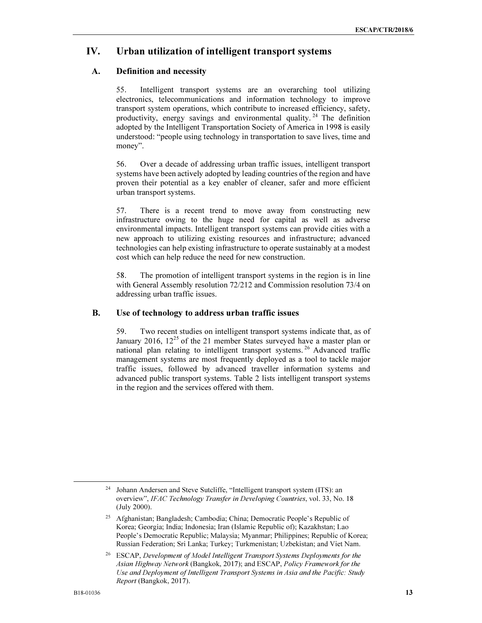# IV. Urban utilization of intelligent transport systems

### A. Definition and necessity

55. Intelligent transport systems are an overarching tool utilizing electronics, telecommunications and information technology to improve transport system operations, which contribute to increased efficiency, safety, productivity, energy savings and environmental quality.<sup>24</sup> The definition adopted by the Intelligent Transportation Society of America in 1998 is easily understood: "people using technology in transportation to save lives, time and money".

56. Over a decade of addressing urban traffic issues, intelligent transport systems have been actively adopted by leading countries of the region and have proven their potential as a key enabler of cleaner, safer and more efficient urban transport systems.

57. There is a recent trend to move away from constructing new infrastructure owing to the huge need for capital as well as adverse environmental impacts. Intelligent transport systems can provide cities with a new approach to utilizing existing resources and infrastructure; advanced technologies can help existing infrastructure to operate sustainably at a modest cost which can help reduce the need for new construction.

58. The promotion of intelligent transport systems in the region is in line with General Assembly resolution 72/212 and Commission resolution 73/4 on addressing urban traffic issues.

#### B. Use of technology to address urban traffic issues

59. Two recent studies on intelligent transport systems indicate that, as of January 2016,  $12^{25}$  of the 21 member States surveyed have a master plan or national plan relating to intelligent transport systems. <sup>26</sup> Advanced traffic management systems are most frequently deployed as a tool to tackle major traffic issues, followed by advanced traveller information systems and advanced public transport systems. Table 2 lists intelligent transport systems in the region and the services offered with them.

Johann Andersen and Steve Sutcliffe, "Intelligent transport system (ITS): an overview", *IFAC Technology Transfer in Developing Countries*, vol. 33, No. 18 (July 2000).

<sup>&</sup>lt;sup>25</sup> Afghanistan; Bangladesh; Cambodia; China; Democratic People's Republic of Korea; Georgia; India; Indonesia; Iran (Islamic Republic of); Kazakhstan; Lao People's Democratic Republic; Malaysia; Myanmar; Philippines; Republic of Korea; Russian Federation; Sri Lanka; Turkey; Turkmenistan; Uzbekistan; and Viet Nam.

<sup>26</sup> ESCAP, *Development of Model Intelligent Transport Systems Deployments for the Asian Highway Network* (Bangkok, 2017); and ESCAP, *Policy Framework for the Use and Deployment of Intelligent Transport Systems in Asia and the Pacific: Study Report* (Bangkok, 2017).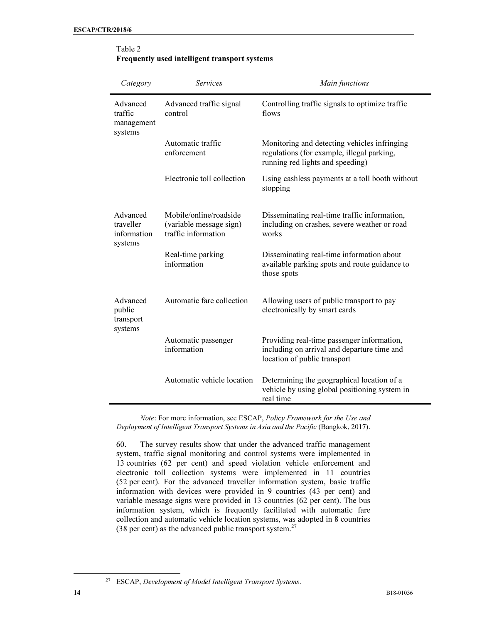$\overline{a}$ 

| Category                                        | <b>Services</b>                                                          | Main functions                                                                                                                 |
|-------------------------------------------------|--------------------------------------------------------------------------|--------------------------------------------------------------------------------------------------------------------------------|
| Advanced<br>traffic<br>management<br>systems    | Advanced traffic signal<br>control                                       | Controlling traffic signals to optimize traffic<br>flows                                                                       |
|                                                 | Automatic traffic<br>enforcement                                         | Monitoring and detecting vehicles infringing<br>regulations (for example, illegal parking,<br>running red lights and speeding) |
|                                                 | Electronic toll collection                                               | Using cashless payments at a toll booth without<br>stopping                                                                    |
| Advanced<br>traveller<br>information<br>systems | Mobile/online/roadside<br>(variable message sign)<br>traffic information | Disseminating real-time traffic information,<br>including on crashes, severe weather or road<br>works                          |
|                                                 | Real-time parking<br>information                                         | Disseminating real-time information about<br>available parking spots and route guidance to<br>those spots                      |
| Advanced<br>public<br>transport<br>systems      | Automatic fare collection                                                | Allowing users of public transport to pay<br>electronically by smart cards                                                     |
|                                                 | Automatic passenger<br>information                                       | Providing real-time passenger information,<br>including on arrival and departure time and<br>location of public transport      |
|                                                 | Automatic vehicle location                                               | Determining the geographical location of a<br>vehicle by using global positioning system in<br>real time                       |

#### Table 2 Frequently used intelligent transport systems

*Note*: For more information, see ESCAP, *Policy Framework for the Use and Deployment of Intelligent Transport Systems in Asia and the Pacific* (Bangkok, 2017).

60. The survey results show that under the advanced traffic management system, traffic signal monitoring and control systems were implemented in 13 countries (62 per cent) and speed violation vehicle enforcement and electronic toll collection systems were implemented in 11 countries (52 per cent). For the advanced traveller information system, basic traffic information with devices were provided in 9 countries (43 per cent) and variable message signs were provided in 13 countries (62 per cent). The bus information system, which is frequently facilitated with automatic fare collection and automatic vehicle location systems, was adopted in 8 countries (38 per cent) as the advanced public transport system.<sup>27</sup>

<sup>27</sup> ESCAP, *Development of Model Intelligent Transport Systems*.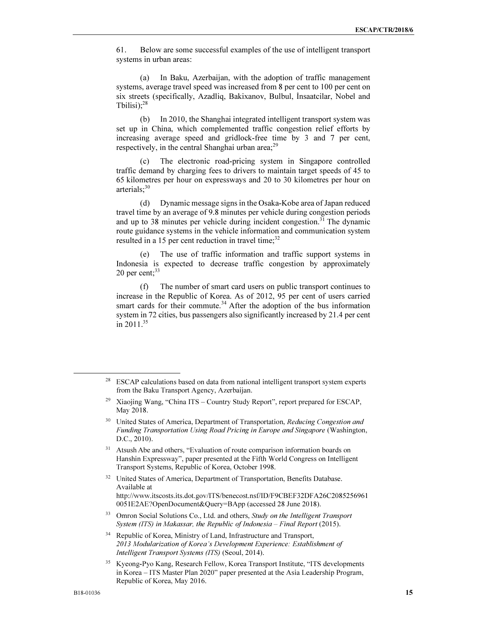61. Below are some successful examples of the use of intelligent transport systems in urban areas:

(a) In Baku, Azerbaijan, with the adoption of traffic management systems, average travel speed was increased from 8 per cent to 100 per cent on six streets (specifically, Azadliq, Bakixanov, Bulbul, İnsaatcilar, Nobel and Tbilisi); $^{28}$ 

(b) In 2010, the Shanghai integrated intelligent transport system was set up in China, which complemented traffic congestion relief efforts by increasing average speed and gridlock-free time by 3 and 7 per cent, respectively, in the central Shanghai urban area; $^{29}$ 

(c) The electronic road-pricing system in Singapore controlled traffic demand by charging fees to drivers to maintain target speeds of 45 to 65 kilometres per hour on expressways and 20 to 30 kilometres per hour on arterials: $30<sup>30</sup>$ 

(d) Dynamic message signs in the Osaka-Kobe area of Japan reduced travel time by an average of 9.8 minutes per vehicle during congestion periods and up to 38 minutes per vehicle during incident congestion.<sup>31</sup> The dynamic route guidance systems in the vehicle information and communication system resulted in a 15 per cent reduction in travel time; $^{32}$ 

(e) The use of traffic information and traffic support systems in Indonesia is expected to decrease traffic congestion by approximately 20 per cent; $33$ 

(f) The number of smart card users on public transport continues to increase in the Republic of Korea. As of 2012, 95 per cent of users carried smart cards for their commute.<sup>34</sup> After the adoption of the bus information system in 72 cities, bus passengers also significantly increased by 21.4 per cent in 2011.<sup>35</sup>

- <sup>31</sup> Atsush Abe and others, "Evaluation of route comparison information boards on Hanshin Expressway", paper presented at the Fifth World Congress on Intelligent Transport Systems, Republic of Korea, October 1998.
- <sup>32</sup> United States of America, Department of Transportation, Benefits Database. Available at http://www.itscosts.its.dot.gov/ITS/benecost.nsf/ID/F9CBEF32DFA26C2085256961 0051E2AE?OpenDocument&Query=BApp (accessed 28 June 2018).
- <sup>33</sup> Omron Social Solutions Co., Ltd. and others, *Study on the Intelligent Transport System (ITS) in Makassar, the Republic of Indonesia – Final Report* (2015).

<sup>34</sup> Republic of Korea, Ministry of Land, Infrastructure and Transport, *2013 Modularization of Korea's Development Experience: Establishment of Intelligent Transport Systems (ITS)* (Seoul, 2014).

<sup>35</sup> Kyeong-Pyo Kang, Research Fellow, Korea Transport Institute, "ITS developments in Korea – ITS Master Plan 2020" paper presented at the Asia Leadership Program, Republic of Korea, May 2016.

<sup>&</sup>lt;sup>28</sup> ESCAP calculations based on data from national intelligent transport system experts from the Baku Transport Agency, Azerbaijan.

<sup>&</sup>lt;sup>29</sup> Xiaojing Wang, "China ITS – Country Study Report", report prepared for ESCAP, May 2018.

<sup>30</sup> United States of America, Department of Transportation, *Reducing Congestion and Funding Transportation Using Road Pricing in Europe and Singapore* (Washington, D.C., 2010).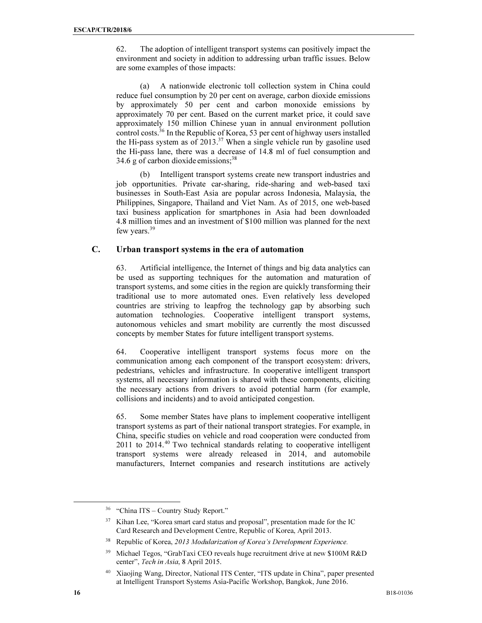62. The adoption of intelligent transport systems can positively impact the environment and society in addition to addressing urban traffic issues. Below are some examples of those impacts:

(a) A nationwide electronic toll collection system in China could reduce fuel consumption by 20 per cent on average, carbon dioxide emissions by approximately 50 per cent and carbon monoxide emissions by approximately 70 per cent. Based on the current market price, it could save approximately 150 million Chinese yuan in annual environment pollution control costs.<sup>36</sup> In the Republic of Korea, 53 per cent of highway users installed the Hi-pass system as of  $2013<sup>37</sup>$  When a single vehicle run by gasoline used the Hi-pass lane, there was a decrease of 14.8 ml of fuel consumption and 34.6 g of carbon dioxide emissions;  $38$ 

(b) Intelligent transport systems create new transport industries and job opportunities. Private car-sharing, ride-sharing and web-based taxi businesses in South-East Asia are popular across Indonesia, Malaysia, the Philippines, Singapore, Thailand and Viet Nam. As of 2015, one web-based taxi business application for smartphones in Asia had been downloaded 4.8 million times and an investment of \$100 million was planned for the next few years.<sup>39</sup>

#### C. Urban transport systems in the era of automation

63. Artificial intelligence, the Internet of things and big data analytics can be used as supporting techniques for the automation and maturation of transport systems, and some cities in the region are quickly transforming their traditional use to more automated ones. Even relatively less developed countries are striving to leapfrog the technology gap by absorbing such automation technologies. Cooperative intelligent transport systems, autonomous vehicles and smart mobility are currently the most discussed concepts by member States for future intelligent transport systems.

64. Cooperative intelligent transport systems focus more on the communication among each component of the transport ecosystem: drivers, pedestrians, vehicles and infrastructure. In cooperative intelligent transport systems, all necessary information is shared with these components, eliciting the necessary actions from drivers to avoid potential harm (for example, collisions and incidents) and to avoid anticipated congestion.

65. Some member States have plans to implement cooperative intelligent transport systems as part of their national transport strategies. For example, in China, specific studies on vehicle and road cooperation were conducted from  $2011$  to  $2014.<sup>40</sup>$  Two technical standards relating to cooperative intelligent transport systems were already released in 2014, and automobile manufacturers, Internet companies and research institutions are actively

<sup>&</sup>lt;sup>36</sup> "China ITS – Country Study Report."

<sup>&</sup>lt;sup>37</sup> Kihan Lee, "Korea smart card status and proposal", presentation made for the IC Card Research and Development Centre, Republic of Korea, April 2013.

<sup>38</sup> Republic of Korea, *2013 Modularization of Korea's Development Experience.*

<sup>39</sup> Michael Tegos, "GrabTaxi CEO reveals huge recruitment drive at new \$100M R&D center", *Tech in Asia*, 8 April 2015.

<sup>40</sup> Xiaojing Wang, Director, National ITS Center, "ITS update in China", paper presented at Intelligent Transport Systems Asia-Pacific Workshop, Bangkok, June 2016.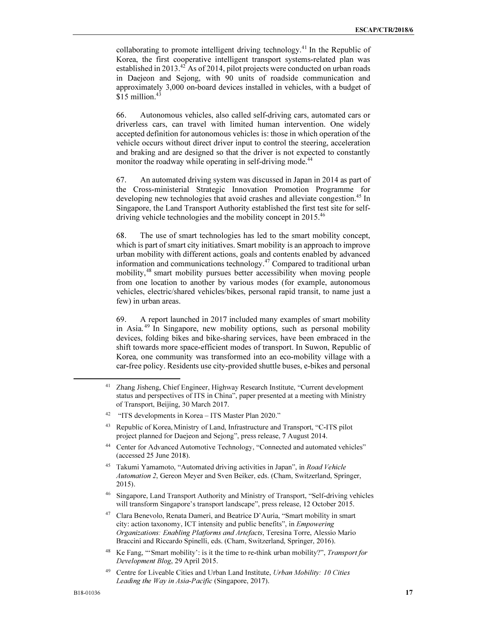collaborating to promote intelligent driving technology.<sup>41</sup> In the Republic of Korea, the first cooperative intelligent transport systems-related plan was established in  $2013<sup>42</sup>$  As of 2014, pilot projects were conducted on urban roads in Daejeon and Sejong, with 90 units of roadside communication and approximately 3,000 on-board devices installed in vehicles, with a budget of  $$15$  million.<sup>43</sup>

66. Autonomous vehicles, also called self-driving cars, automated cars or driverless cars, can travel with limited human intervention. One widely accepted definition for autonomous vehicles is: those in which operation of the vehicle occurs without direct driver input to control the steering, acceleration and braking and are designed so that the driver is not expected to constantly monitor the roadway while operating in self-driving mode.<sup>44</sup>

67. An automated driving system was discussed in Japan in 2014 as part of the Cross-ministerial Strategic Innovation Promotion Programme for developing new technologies that avoid crashes and alleviate congestion.<sup>45</sup> In Singapore, the Land Transport Authority established the first test site for selfdriving vehicle technologies and the mobility concept in 2015.<sup>46</sup>

68. The use of smart technologies has led to the smart mobility concept, which is part of smart city initiatives. Smart mobility is an approach to improve urban mobility with different actions, goals and contents enabled by advanced information and communications technology.<sup>47</sup> Compared to traditional urban mobility,<sup>48</sup> smart mobility pursues better accessibility when moving people from one location to another by various modes (for example, autonomous vehicles, electric/shared vehicles/bikes, personal rapid transit, to name just a few) in urban areas.

69. A report launched in 2017 included many examples of smart mobility in Asia.<sup>49</sup> In Singapore, new mobility options, such as personal mobility devices, folding bikes and bike-sharing services, have been embraced in the shift towards more space-efficient modes of transport. In Suwon, Republic of Korea, one community was transformed into an eco-mobility village with a car-free policy. Residents use city-provided shuttle buses, e-bikes and personal

- <sup>44</sup> Center for Advanced Automotive Technology, "Connected and automated vehicles" (accessed 25 June 2018).
- <sup>45</sup> Takumi Yamamoto, "Automated driving activities in Japan", in *Road Vehicle Automation 2*, Gereon Meyer and Sven Beiker, eds. (Cham, Switzerland, Springer, 2015).
- <sup>46</sup> Singapore, Land Transport Authority and Ministry of Transport, "Self-driving vehicles will transform Singapore's transport landscape", press release, 12 October 2015.

<sup>48</sup> Ke Fang, "'Smart mobility': is it the time to re-think urban mobility?", *Transport for Development Blog*, 29 April 2015.

Zhang Jisheng, Chief Engineer, Highway Research Institute, "Current development status and perspectives of ITS in China", paper presented at a meeting with Ministry of Transport, Beijing, 30 March 2017.

<sup>42</sup> "ITS developments in Korea – ITS Master Plan 2020."

<sup>43</sup> Republic of Korea, Ministry of Land, Infrastructure and Transport, "C-ITS pilot project planned for Daejeon and Sejong", press release, 7 August 2014.

<sup>47</sup> Clara Benevolo, Renata Dameri, and Beatrice D'Auria, "Smart mobility in smart city: action taxonomy, ICT intensity and public benefits", in *Empowering Organizations: Enabling Platforms and Artefacts*, Teresina Torre, Alessio Mario Braccini and Riccardo Spinelli, eds. (Cham, Switzerland, Springer, 2016).

<sup>49</sup> Centre for Liveable Cities and Urban Land Institute, *Urban Mobility: 10 Cities Leading the Way in Asia-Pacific* (Singapore, 2017).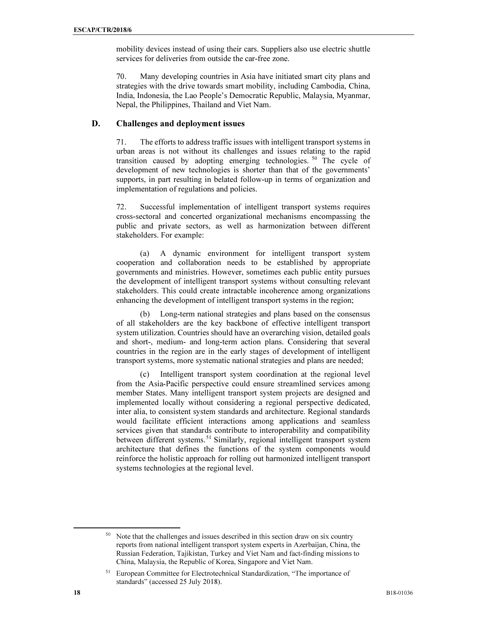mobility devices instead of using their cars. Suppliers also use electric shuttle services for deliveries from outside the car-free zone.

70. Many developing countries in Asia have initiated smart city plans and strategies with the drive towards smart mobility, including Cambodia, China, India, Indonesia, the Lao People's Democratic Republic, Malaysia, Myanmar, Nepal, the Philippines, Thailand and Viet Nam.

#### D. Challenges and deployment issues

71. The efforts to address traffic issues with intelligent transport systems in urban areas is not without its challenges and issues relating to the rapid transition caused by adopting emerging technologies. <sup>50</sup> The cycle of development of new technologies is shorter than that of the governments' supports, in part resulting in belated follow-up in terms of organization and implementation of regulations and policies.

72. Successful implementation of intelligent transport systems requires cross-sectoral and concerted organizational mechanisms encompassing the public and private sectors, as well as harmonization between different stakeholders. For example:

(a) A dynamic environment for intelligent transport system cooperation and collaboration needs to be established by appropriate governments and ministries. However, sometimes each public entity pursues the development of intelligent transport systems without consulting relevant stakeholders. This could create intractable incoherence among organizations enhancing the development of intelligent transport systems in the region;

(b) Long-term national strategies and plans based on the consensus of all stakeholders are the key backbone of effective intelligent transport system utilization. Countries should have an overarching vision, detailed goals and short-, medium- and long-term action plans. Considering that several countries in the region are in the early stages of development of intelligent transport systems, more systematic national strategies and plans are needed;

(c) Intelligent transport system coordination at the regional level from the Asia-Pacific perspective could ensure streamlined services among member States. Many intelligent transport system projects are designed and implemented locally without considering a regional perspective dedicated, inter alia, to consistent system standards and architecture. Regional standards would facilitate efficient interactions among applications and seamless services given that standards contribute to interoperability and compatibility between different systems.<sup>51</sup> Similarly, regional intelligent transport system architecture that defines the functions of the system components would reinforce the holistic approach for rolling out harmonized intelligent transport systems technologies at the regional level.

<sup>&</sup>lt;sup>50</sup> Note that the challenges and issues described in this section draw on six country reports from national intelligent transport system experts in Azerbaijan, China, the Russian Federation, Tajikistan, Turkey and Viet Nam and fact-finding missions to China, Malaysia, the Republic of Korea, Singapore and Viet Nam.

<sup>51</sup> European Committee for Electrotechnical Standardization, "The importance of standards" (accessed 25 July 2018).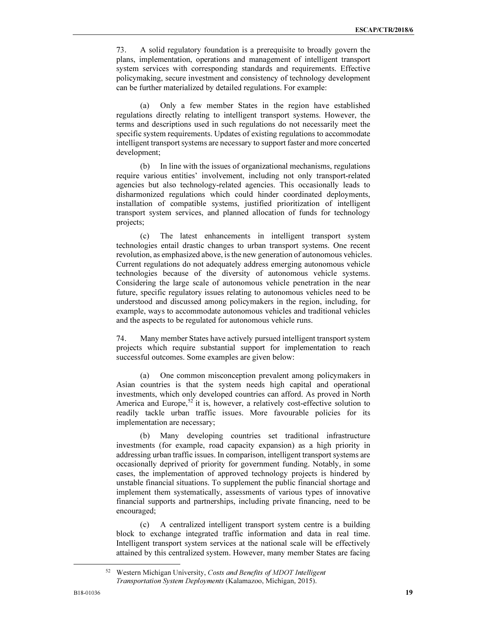73. A solid regulatory foundation is a prerequisite to broadly govern the plans, implementation, operations and management of intelligent transport system services with corresponding standards and requirements. Effective policymaking, secure investment and consistency of technology development can be further materialized by detailed regulations. For example:

(a) Only a few member States in the region have established regulations directly relating to intelligent transport systems. However, the terms and descriptions used in such regulations do not necessarily meet the specific system requirements. Updates of existing regulations to accommodate intelligent transport systems are necessary to support faster and more concerted development;

(b) In line with the issues of organizational mechanisms, regulations require various entities' involvement, including not only transport-related agencies but also technology-related agencies. This occasionally leads to disharmonized regulations which could hinder coordinated deployments, installation of compatible systems, justified prioritization of intelligent transport system services, and planned allocation of funds for technology projects;

(c) The latest enhancements in intelligent transport system technologies entail drastic changes to urban transport systems. One recent revolution, as emphasized above, is the new generation of autonomous vehicles. Current regulations do not adequately address emerging autonomous vehicle technologies because of the diversity of autonomous vehicle systems. Considering the large scale of autonomous vehicle penetration in the near future, specific regulatory issues relating to autonomous vehicles need to be understood and discussed among policymakers in the region, including, for example, ways to accommodate autonomous vehicles and traditional vehicles and the aspects to be regulated for autonomous vehicle runs.

74. Many member States have actively pursued intelligent transport system projects which require substantial support for implementation to reach successful outcomes. Some examples are given below:

(a) One common misconception prevalent among policymakers in Asian countries is that the system needs high capital and operational investments, which only developed countries can afford. As proved in North America and Europe,<sup>52</sup> it is, however, a relatively cost-effective solution to readily tackle urban traffic issues. More favourable policies for its implementation are necessary;

(b) Many developing countries set traditional infrastructure investments (for example, road capacity expansion) as a high priority in addressing urban traffic issues. In comparison, intelligent transport systems are occasionally deprived of priority for government funding. Notably, in some cases, the implementation of approved technology projects is hindered by unstable financial situations. To supplement the public financial shortage and implement them systematically, assessments of various types of innovative financial supports and partnerships, including private financing, need to be encouraged;

(c) A centralized intelligent transport system centre is a building block to exchange integrated traffic information and data in real time. Intelligent transport system services at the national scale will be effectively attained by this centralized system. However, many member States are facing

<sup>52</sup> Western Michigan University, *Costs and Benefits of MDOT Intelligent Transportation System Deployments* (Kalamazoo, Michigan, 2015).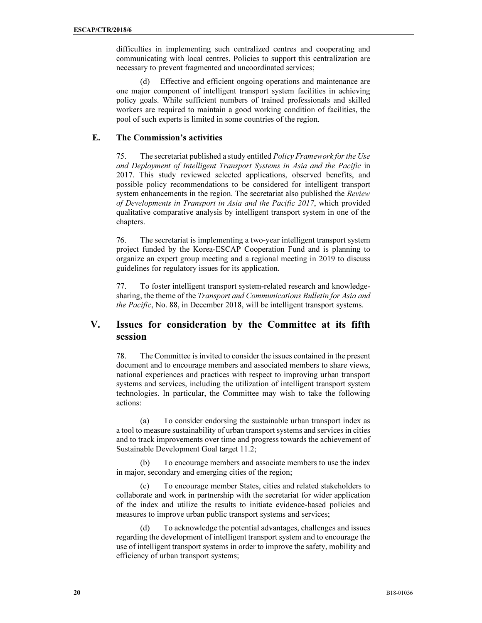difficulties in implementing such centralized centres and cooperating and communicating with local centres. Policies to support this centralization are necessary to prevent fragmented and uncoordinated services;

(d) Effective and efficient ongoing operations and maintenance are one major component of intelligent transport system facilities in achieving policy goals. While sufficient numbers of trained professionals and skilled workers are required to maintain a good working condition of facilities, the pool of such experts is limited in some countries of the region.

### E. The Commission's activities

75. The secretariat published a study entitled Policy Framework for the Use and Deployment of Intelligent Transport Systems in Asia and the Pacific in 2017. This study reviewed selected applications, observed benefits, and possible policy recommendations to be considered for intelligent transport system enhancements in the region. The secretariat also published the Review of Developments in Transport in Asia and the Pacific 2017, which provided qualitative comparative analysis by intelligent transport system in one of the chapters.

76. The secretariat is implementing a two-year intelligent transport system project funded by the Korea-ESCAP Cooperation Fund and is planning to organize an expert group meeting and a regional meeting in 2019 to discuss guidelines for regulatory issues for its application.

77. To foster intelligent transport system-related research and knowledgesharing, the theme of the Transport and Communications Bulletin for Asia and the Pacific, No. 88, in December 2018, will be intelligent transport systems.

# V. Issues for consideration by the Committee at its fifth session

78. The Committee is invited to consider the issues contained in the present document and to encourage members and associated members to share views, national experiences and practices with respect to improving urban transport systems and services, including the utilization of intelligent transport system technologies. In particular, the Committee may wish to take the following actions:

 (a) To consider endorsing the sustainable urban transport index as a tool to measure sustainability of urban transport systems and services in cities and to track improvements over time and progress towards the achievement of Sustainable Development Goal target 11.2;

To encourage members and associate members to use the index in major, secondary and emerging cities of the region;

 (c) To encourage member States, cities and related stakeholders to collaborate and work in partnership with the secretariat for wider application of the index and utilize the results to initiate evidence-based policies and measures to improve urban public transport systems and services;

 (d) To acknowledge the potential advantages, challenges and issues regarding the development of intelligent transport system and to encourage the use of intelligent transport systems in order to improve the safety, mobility and efficiency of urban transport systems;